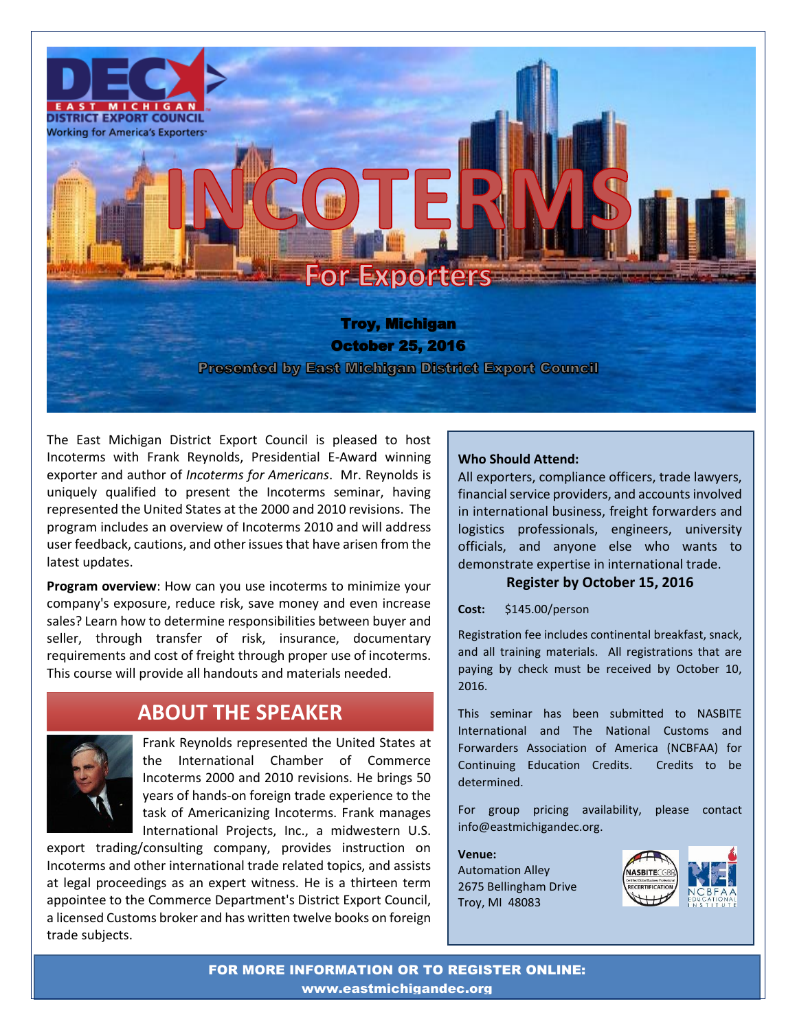

The East Michigan District Export Council is pleased to host Incoterms with Frank Reynolds, Presidential E-Award winning exporter and author of *Incoterms for Americans*. Mr. Reynolds is uniquely qualified to present the Incoterms seminar, having represented the United States at the 2000 and 2010 revisions. The program includes an overview of Incoterms 2010 and will address user feedback, cautions, and other issues that have arisen from the latest updates.

**Program overview:** How can you use incoterms to minimize your company's exposure, reduce risk, save money and even increase sales? Learn how to determine responsibilities between buyer and seller, through transfer of risk, insurance, documentary requirements and cost of freight through proper use of incoterms. This course will provide all handouts and materials needed.

## **ABOUT THE SPEAKER**



Frank Reynolds represented the United States at the International Chamber of Commerce Incoterms 2000 and 2010 revisions. He brings 50 years of hands-on foreign trade experience to the task of Americanizing Incoterms. Frank manages International Projects, Inc., a midwestern U.S.

export trading/consulting company, provides instruction on Incoterms and other international trade related topics, and assists at legal proceedings as an expert witness. He is a thirteen term appointee to the Commerce Department's District Export Council, a licensed Customs broker and has written twelve books on foreign trade subjects.

#### **Who Should Attend:**

All exporters, compliance officers, trade lawyers, financial service providers, and accounts involved in international business, freight forwarders and logistics professionals, engineers, university officials, and anyone else who wants to demonstrate expertise in international trade.

#### **Register by October 15, 2016**

**Cost:** \$145.00/person

Registration fee includes continental breakfast, snack, and all training materials. All registrations that are paying by check must be received by October 10, 2016.

This seminar has been submitted to NASBITE International and The National Customs and Forwarders Association of America (NCBFAA) for Continuing Education Credits. Credits to be determined.

For group pricing availability, please contact info@eastmichigandec.org.

**Venue:**  Automation Alley 2675 Bellingham Drive Troy, MI 48083



FOR MORE INFORMATION OR TO REGISTER ONLINE: www.eastmichigandec.org